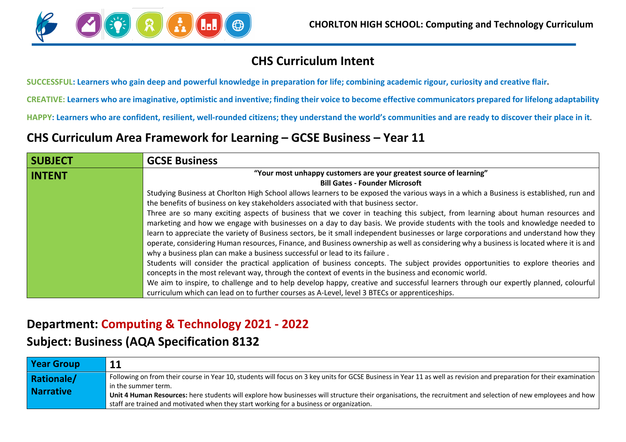

### **CHS Curriculum Intent**

**SUCCESSFUL: Learners who gain deep and powerful knowledge in preparation for life; combining academic rigour, curiosity and creative flair.**

**CREATIVE: Learners who are imaginative, optimistic and inventive; finding their voice to become effective communicators prepared for lifelong adaptability**

**HAPPY: Learners who are confident, resilient, well-rounded citizens; they understand the world's communities and are ready to discover their place in it.**

## **CHS Curriculum Area Framework for Learning – GCSE Business – Year 11**

| <b>SUBJECT</b> | <b>GCSE Business</b>                                                                                                                   |
|----------------|----------------------------------------------------------------------------------------------------------------------------------------|
| <b>INTENT</b>  | "Your most unhappy customers are your greatest source of learning"                                                                     |
|                | <b>Bill Gates - Founder Microsoft</b>                                                                                                  |
|                | Studying Business at Chorlton High School allows learners to be exposed the various ways in a which a Business is established, run and |
|                | the benefits of business on key stakeholders associated with that business sector.                                                     |
|                | Three are so many exciting aspects of business that we cover in teaching this subject, from learning about human resources and         |
|                | marketing and how we engage with businesses on a day to day basis. We provide students with the tools and knowledge needed to          |
|                | learn to appreciate the variety of Business sectors, be it small independent businesses or large corporations and understand how they  |
|                | operate, considering Human resources, Finance, and Business ownership as well as considering why a business is located where it is and |
|                | why a business plan can make a business successful or lead to its failure.                                                             |
|                | Students will consider the practical application of business concepts. The subject provides opportunities to explore theories and      |
|                | concepts in the most relevant way, through the context of events in the business and economic world.                                   |
|                | We aim to inspire, to challenge and to help develop happy, creative and successful learners through our expertly planned, colourful    |
|                | curriculum which can lead on to further courses as A-Level, level 3 BTECs or apprenticeships.                                          |

### **Department: Computing & Technology 2021 - 2022**

#### **Subject: Business (AQA Specification 8132**

| <b>Year Group</b> |                                                                                                                                                                                     |
|-------------------|-------------------------------------------------------------------------------------------------------------------------------------------------------------------------------------|
| <b>Rationale/</b> | Following on from their course in Year 10, students will focus on 3 key units for GCSE Business in Year 11 as well as revision and preparation for their examination                |
| <b>Narrative</b>  | in the summer term.<br>Unit 4 Human Resources: here students will explore how businesses will structure their organisations, the recruitment and selection of new employees and how |
|                   | staff are trained and motivated when they start working for a business or organization.                                                                                             |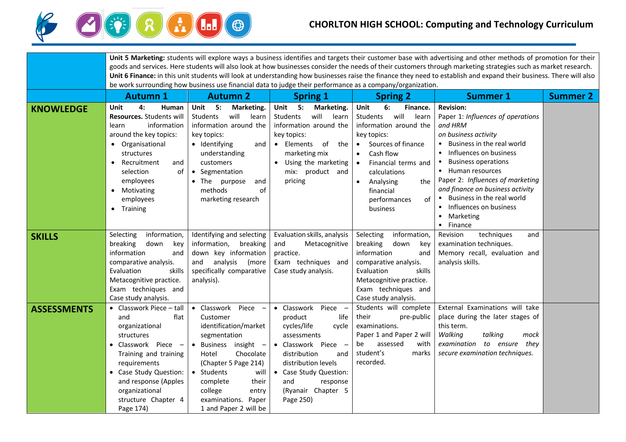

# **CHORLTON HIGH SCHOOL: Computing and Technology Curriculum**

|                    | Unit 5 Marketing: students will explore ways a business identifies and targets their customer base with advertising and other methods of promotion for their                                                                                                                |                                                                                                                                                                                                                                                                                                     |                                                                                                                                                                                                                                    |                                                                                                                                                                                                                                                                                  |                                                                                                                                                                                                                                                                                                                                                                     |                 |  |  |  |
|--------------------|-----------------------------------------------------------------------------------------------------------------------------------------------------------------------------------------------------------------------------------------------------------------------------|-----------------------------------------------------------------------------------------------------------------------------------------------------------------------------------------------------------------------------------------------------------------------------------------------------|------------------------------------------------------------------------------------------------------------------------------------------------------------------------------------------------------------------------------------|----------------------------------------------------------------------------------------------------------------------------------------------------------------------------------------------------------------------------------------------------------------------------------|---------------------------------------------------------------------------------------------------------------------------------------------------------------------------------------------------------------------------------------------------------------------------------------------------------------------------------------------------------------------|-----------------|--|--|--|
|                    | goods and services. Here students will also look at how businesses consider the needs of their customers through marketing strategies such as market research.                                                                                                              |                                                                                                                                                                                                                                                                                                     |                                                                                                                                                                                                                                    |                                                                                                                                                                                                                                                                                  |                                                                                                                                                                                                                                                                                                                                                                     |                 |  |  |  |
|                    |                                                                                                                                                                                                                                                                             | Unit 6 Finance: in this unit students will look at understanding how businesses raise the finance they need to establish and expand their business. There will also<br>be work surrounding how business use financial data to judge their performance as a company/organization.                    |                                                                                                                                                                                                                                    |                                                                                                                                                                                                                                                                                  |                                                                                                                                                                                                                                                                                                                                                                     |                 |  |  |  |
|                    |                                                                                                                                                                                                                                                                             |                                                                                                                                                                                                                                                                                                     |                                                                                                                                                                                                                                    |                                                                                                                                                                                                                                                                                  |                                                                                                                                                                                                                                                                                                                                                                     |                 |  |  |  |
|                    | <b>Autumn 1</b>                                                                                                                                                                                                                                                             | <b>Autumn 2</b>                                                                                                                                                                                                                                                                                     | <b>Spring 1</b>                                                                                                                                                                                                                    | <b>Spring 2</b>                                                                                                                                                                                                                                                                  | <b>Summer 1</b>                                                                                                                                                                                                                                                                                                                                                     | <b>Summer 2</b> |  |  |  |
| <b>KNOWLEDGE</b>   | 4:<br>Unit<br>Human<br>Resources. Students will<br>information<br>learn<br>around the key topics:<br>Organisational<br>structures<br>Recruitment<br>and<br>$\bullet$<br>of<br>selection<br>employees<br>• Motivating<br>employees<br>Training<br>$\bullet$                  | Unit 5: Marketing.<br>will<br>Students<br>learn<br>information around the<br>key topics:<br>• Identifying<br>and<br>understanding<br>customers<br>• Segmentation<br>• The purpose<br>and<br>methods<br>of<br>marketing research                                                                     | Unit 5:<br>Marketing.<br>will<br>Students<br>learn<br>information around the<br>key topics:<br>• Elements<br>of<br>the<br>marketing mix<br>Using the marketing<br>mix: product and<br>pricing                                      | Unit<br>6:<br>Finance.<br>will<br>Students<br>learn<br>information around the<br>key topics:<br>Sources of finance<br>$\bullet$<br>Cash flow<br>$\bullet$<br>Financial terms and<br>calculations<br>Analysing<br>the<br>$\bullet$<br>financial<br>of<br>performances<br>business | <b>Revision:</b><br>Paper 1: Influences of operations<br>and HRM<br>on business activity<br>• Business in the real world<br>• Influences on business<br><b>Business operations</b><br>• Human resources<br>Paper 2: Influences of marketing<br>and finance on business activity<br>Business in the real world<br>Influences on business<br>• Marketing<br>• Finance |                 |  |  |  |
| <b>SKILLS</b>      | Selecting<br>information,<br>breaking<br>down<br>key<br>information<br>and<br>comparative analysis.<br>Evaluation<br>skills<br>Metacognitive practice.<br>Exam techniques and<br>Case study analysis.                                                                       | Identifying and selecting<br>information, breaking<br>down key information<br>analysis<br>(more<br>and<br>specifically comparative<br>analysis).                                                                                                                                                    | Evaluation skills, analysis<br>and<br>Metacognitive<br>practice.<br>Exam techniques and<br>Case study analysis.                                                                                                                    | Selecting<br>information,<br>breaking<br>down<br>key<br>information<br>and<br>comparative analysis.<br>skills<br>Evaluation<br>Metacognitive practice.<br>Exam techniques and<br>Case study analysis.                                                                            | Revision<br>techniques<br>and<br>examination techniques.<br>Memory recall, evaluation and<br>analysis skills.                                                                                                                                                                                                                                                       |                 |  |  |  |
| <b>ASSESSMENTS</b> | • Classwork Piece $-$ tall<br>flat<br>and<br>organizational<br>structures<br>• Classwork Piece<br>$\overline{\phantom{m}}$<br>Training and training<br>requirements<br>• Case Study Question:<br>and response (Apples<br>organizational<br>structure Chapter 4<br>Page 174) | • Classwork<br>Piece<br>Customer<br>identification/market<br>segmentation<br>Business insight<br>$\bullet$<br>$\overline{\phantom{m}}$<br>Chocolate<br>Hotel<br>(Chapter 5 Page 214)<br>• Students<br>will<br>their<br>complete<br>college<br>entry<br>examinations. Paper<br>1 and Paper 2 will be | • Classwork Piece -<br>life<br>product<br>cycles/life<br>cycle<br>assessments<br>• Classwork Piece -<br>distribution<br>and<br>distribution levels<br>• Case Study Question:<br>and<br>response<br>(Ryanair Chapter 5<br>Page 250) | Students will complete<br>their<br>pre-public<br>examinations.<br>Paper 1 and Paper 2 will<br>assessed<br>with<br>be<br>student's<br>marks<br>recorded.                                                                                                                          | External Examinations will take<br>place during the later stages of<br>this term.<br>Walking<br>talking<br>mock<br>examination<br>to ensure<br>they<br>secure examination techniques.                                                                                                                                                                               |                 |  |  |  |